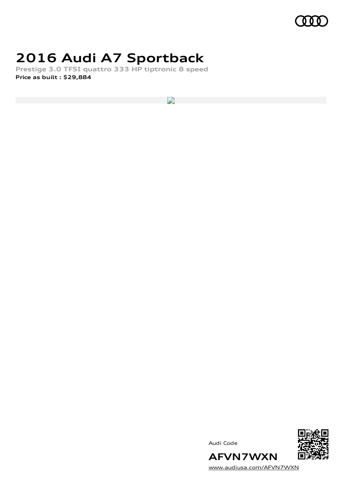

## **2016 Audi A7 Sportback**

**Prestige 3.0 TFSI quattro 333 HP tiptronic 8 speed Price as built [:](#page-10-0) \$29,884**

 $\overline{\phantom{a}}$ 





[www.audiusa.com/AFVN7WXN](https://www.audiusa.com/AFVN7WXN)

**AFVN7WXN**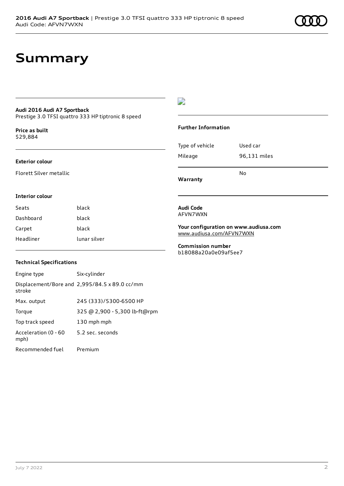## **Summary**

### **Audi 2016 Audi A7 Sportback**

Prestige 3.0 TFSI quattro 333 HP tiptronic 8 speed

**Price as buil[t](#page-10-0)** \$29,884

#### **Exterior colour**

Florett Silver metallic

## $\overline{\phantom{a}}$

### **Further Information**

|                 | N٥           |
|-----------------|--------------|
| Mileage         | 96,131 miles |
| Type of vehicle | Used car     |

#### **Interior colour**

| Seats     | black        |
|-----------|--------------|
| Dashboard | black        |
| Carpet    | black        |
| Headliner | lunar silver |

### **Technical Specifications**

| Engine type                  | Six-cylinder                                  |
|------------------------------|-----------------------------------------------|
| stroke                       | Displacement/Bore and 2,995/84.5 x 89.0 cc/mm |
| Max. output                  | 245 (333)/5300-6500 HP                        |
| Torque                       | 325 @ 2,900 - 5,300 lb-ft@rpm                 |
| Top track speed              | 130 mph mph                                   |
| Acceleration (0 - 60<br>mph) | 5.2 sec. seconds                              |
| Recommended fuel             | Premium                                       |

**Audi Code** AFVN7WXN

**Warranty**

**Your configuration on www.audiusa.com** [www.audiusa.com/AFVN7WXN](https://www.audiusa.com/AFVN7WXN)

**Commission number** b18088a20a0e09af5ee7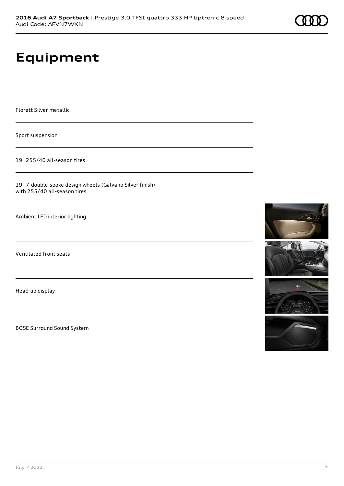# **Equipment**

Florett Silver metallic

Sport suspension

19" 255/40 all-season tires

19" 7-double-spoke design wheels (Galvano Silver finish) with 255/40 all-season tires

Ambient LED interior lighting

Ventilated front seats

Head-up display

BOSE Surround Sound System







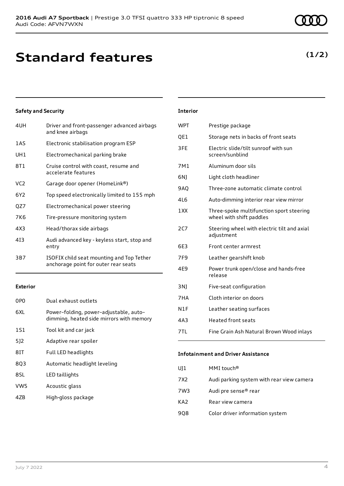## **Standard features**

## **Safety and Security**

| 4UH | Driver and front-passenger advanced airbags<br>and knee airbags                   |
|-----|-----------------------------------------------------------------------------------|
| 1AS | Electronic stabilisation program ESP                                              |
| UH1 | Electromechanical parking brake                                                   |
| 8T1 | Cruise control with coast, resume and<br>accelerate features                      |
| VC2 | Garage door opener (HomeLink®)                                                    |
| 6Y2 | Top speed electronically limited to 155 mph                                       |
| QZ7 | Electromechanical power steering                                                  |
| 7K6 | Tire-pressure monitoring system                                                   |
| 4X3 | Head/thorax side airbags                                                          |
| 413 | Audi advanced key - keyless start, stop and<br>entry                              |
| 3B7 | ISOFIX child seat mounting and Top Tether<br>anchorage point for outer rear seats |

### **Exterior**

| 0P <sub>0</sub> | Dual exhaust outlets                                                               |
|-----------------|------------------------------------------------------------------------------------|
| 6XL             | Power-folding, power-adjustable, auto-<br>dimming, heated side mirrors with memory |
| 1S1             | Tool kit and car jack                                                              |
| 512             | Adaptive rear spoiler                                                              |
| 8IT             | <b>Full LED headlights</b>                                                         |
| 8Q3             | Automatic headlight leveling                                                       |
| 8SL             | LED taillights                                                                     |
| VW5             | Acoustic glass                                                                     |

4ZB High-gloss package

## **Interior**

| WPT             | Prestige package                                                     |
|-----------------|----------------------------------------------------------------------|
| QE1             | Storage nets in backs of front seats                                 |
| 3FE             | Electric slide/tilt sunroof with sun<br>screen/sunblind              |
| 7M1             | Aluminum door sils                                                   |
| 6N)             | Light cloth headliner                                                |
| 9AQ             | Three-zone automatic climate control                                 |
| 416             | Auto-dimming interior rear view mirror                               |
| 1XX             | Three-spoke multifunction sport steering<br>wheel with shift paddles |
| 2C7             | Steering wheel with electric tilt and axial<br>adjustment            |
| 6E3             | Front center armrest                                                 |
| 7F <sub>9</sub> | Leather gearshift knob                                               |
| 4E9             | Power trunk open/close and hands-free<br>release                     |
| 3N)             | Five-seat configuration                                              |
| 7HA             | Cloth interior on doors                                              |
| N1F             | Leather seating surfaces                                             |
| 4A3             | <b>Heated front seats</b>                                            |
| 7TI.            | Fine Grain Ash Natural Brown Wood inlays                             |
|                 |                                                                      |

### **Infotainment and Driver Assistance**

| UJ1 | MMI touch®                                |
|-----|-------------------------------------------|
| 7X2 | Audi parking system with rear view camera |
| 7W3 | Audi pre sense <sup>®</sup> rear          |
| KA2 | Rear view camera                          |
| 908 | Color driver information system           |

## **(1/2)**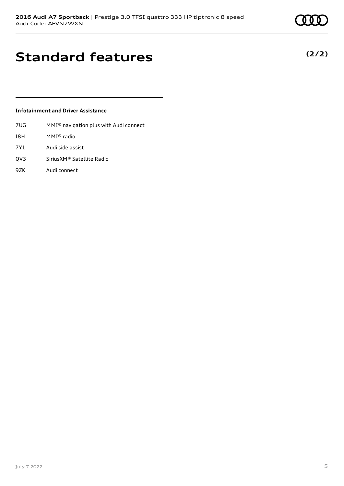## **Standard features**

### **Infotainment and Driver Assistance**

- 7UG MMI® navigation plus with Audi connect
- I8H MMI® radio
- 7Y1 Audi side assist
- QV3 SiriusXM® Satellite Radio
- 9ZK Audi connect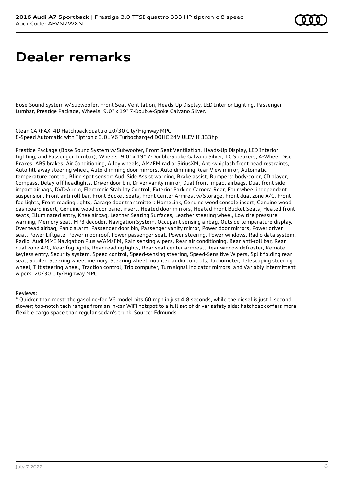# **Dealer remarks**

Bose Sound System w/Subwoofer, Front Seat Ventilation, Heads-Up Display, LED Interior Lighting, Passenger Lumbar, Prestige Package, Wheels: 9.0" x 19" 7-Double-Spoke Galvano Silver.

Clean CARFAX. 4D Hatchback quattro 20/30 City/Highway MPG 8-Speed Automatic with Tiptronic 3.0L V6 Turbocharged DOHC 24V ULEV II 333hp

Prestige Package (Bose Sound System w/Subwoofer, Front Seat Ventilation, Heads-Up Display, LED Interior Lighting, and Passenger Lumbar), Wheels: 9.0" x 19" 7-Double-Spoke Galvano Silver, 10 Speakers, 4-Wheel Disc Brakes, ABS brakes, Air Conditioning, Alloy wheels, AM/FM radio: SiriusXM, Anti-whiplash front head restraints, Auto tilt-away steering wheel, Auto-dimming door mirrors, Auto-dimming Rear-View mirror, Automatic temperature control, Blind spot sensor: Audi Side Assist warning, Brake assist, Bumpers: body-color, CD player, Compass, Delay-off headlights, Driver door bin, Driver vanity mirror, Dual front impact airbags, Dual front side impact airbags, DVD-Audio, Electronic Stability Control, Exterior Parking Camera Rear, Four wheel independent suspension, Front anti-roll bar, Front Bucket Seats, Front Center Armrest w/Storage, Front dual zone A/C, Front fog lights, Front reading lights, Garage door transmitter: HomeLink, Genuine wood console insert, Genuine wood dashboard insert, Genuine wood door panel insert, Heated door mirrors, Heated Front Bucket Seats, Heated front seats, Illuminated entry, Knee airbag, Leather Seating Surfaces, Leather steering wheel, Low tire pressure warning, Memory seat, MP3 decoder, Navigation System, Occupant sensing airbag, Outside temperature display, Overhead airbag, Panic alarm, Passenger door bin, Passenger vanity mirror, Power door mirrors, Power driver seat, Power Liftgate, Power moonroof, Power passenger seat, Power steering, Power windows, Radio data system, Radio: Audi MMI Navigation Plus w/AM/FM, Rain sensing wipers, Rear air conditioning, Rear anti-roll bar, Rear dual zone A/C, Rear fog lights, Rear reading lights, Rear seat center armrest, Rear window defroster, Remote keyless entry, Security system, Speed control, Speed-sensing steering, Speed-Sensitive Wipers, Split folding rear seat, Spoiler, Steering wheel memory, Steering wheel mounted audio controls, Tachometer, Telescoping steering wheel, Tilt steering wheel, Traction control, Trip computer, Turn signal indicator mirrors, and Variably intermittent wipers. 20/30 City/Highway MPG

Reviews:

\* Quicker than most; the gasoline-fed V6 model hits 60 mph in just 4.8 seconds, while the diesel is just 1 second slower; top-notch tech ranges from an in-car WiFi hotspot to a full set of driver safety aids; hatchback offers more flexible cargo space than regular sedan's trunk. Source: Edmunds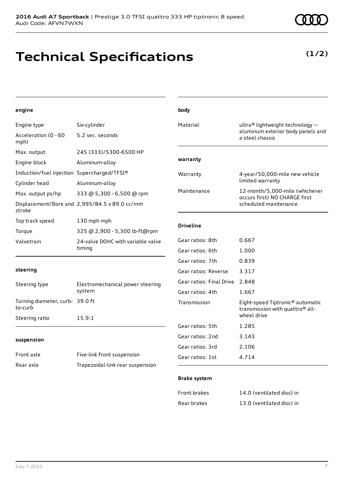## **Technical Specifications**

**(1/2)**

| engine                                      |                                               | body                     |                                                                                                            |
|---------------------------------------------|-----------------------------------------------|--------------------------|------------------------------------------------------------------------------------------------------------|
| Engine type                                 | Six-cylinder                                  | Material                 | ultra® lightweight technology -                                                                            |
| Acceleration (0 - 60<br>mph)                | 5.2 sec. seconds                              |                          | aluminum exterior body panels and<br>a steel chassis                                                       |
| Max. output                                 | 245 (333)/5300-6500 HP                        |                          |                                                                                                            |
| Engine block                                | Aluminum-alloy                                | warranty                 |                                                                                                            |
| Induction/fuel injection Supercharged/TFSI® |                                               | Warranty                 | 4-year/50,000-mile new vehicle                                                                             |
| Cylinder head                               | Aluminum-alloy                                |                          | limited warranty                                                                                           |
| Max. output ps/hp                           | 333 @ 5,300 - 6,500 @ rpm                     | Maintenance              | 12-month/5,000-mile (whichever<br>occurs first) NO CHARGE first                                            |
| stroke                                      | Displacement/Bore and 2,995/84.5 x 89.0 cc/mm |                          | scheduled maintenance                                                                                      |
| Top track speed                             | 130 mph mph                                   |                          |                                                                                                            |
| Torque                                      | 325 @ 2,900 - 5,300 lb-ft@rpm                 | <b>Driveline</b>         |                                                                                                            |
| Valvetrain                                  | 24-valve DOHC with variable valve<br>timing   | Gear ratios: 8th         | 0.667                                                                                                      |
|                                             |                                               | Gear ratios: 6th         | 1.000                                                                                                      |
|                                             |                                               | Gear ratios: 7th         | 0.839                                                                                                      |
| steering                                    |                                               | Gear ratios: Reverse     | 3.317                                                                                                      |
| Steering type                               | Electromechanical power steering<br>system    | Gear ratios: Final Drive | 2.848                                                                                                      |
|                                             |                                               | Gear ratios: 4th         | 1.667                                                                                                      |
| Turning diameter, curb- 39.0 ft<br>to-curb  |                                               | Transmission             | Eight-speed Tiptronic <sup>®</sup> automatic<br>transmission with quattro <sup>®</sup> all-<br>wheel drive |
| Steering ratio                              | 15.9:1                                        | Gear ratios: 5th         | 1.285                                                                                                      |
|                                             |                                               | Gear ratios: 2nd         | 3.143                                                                                                      |
| suspension                                  |                                               | Gear ratios: 3rd         | 2.106                                                                                                      |
| Front axle                                  | Five-link front suspension                    | Gear ratios: 1st         | 4.714                                                                                                      |
| Rear axle                                   | Trapezoidal-link rear suspension              |                          |                                                                                                            |
|                                             |                                               | <b>Brake system</b>      |                                                                                                            |
|                                             |                                               | Front brakes             | 14.0 (ventilated disc) in                                                                                  |
|                                             |                                               | Rear brakes              | 13.0 (ventilated disc) in                                                                                  |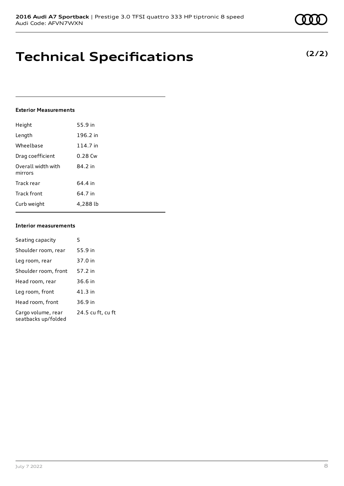## **Technical Specifications**

### **Exterior Measurements**

| Height                        | 55.9 in   |
|-------------------------------|-----------|
| Length                        | 196.2 in  |
| Wheelbase                     | 114.7 in  |
| Drag coefficient              | $0.28$ Cw |
| Overall width with<br>mirrors | 84.2 in   |
| Track rear                    | 64.4 in   |
| Track front                   | 64.7 in   |
| Curb weight                   | 4.288 lb  |

### **Interior measurements**

| Seating capacity                          | 5                 |
|-------------------------------------------|-------------------|
| Shoulder room, rear                       | 55.9 in           |
| Leg room, rear                            | 37.0 in           |
| Shoulder room, front                      | 57.2 in           |
| Head room, rear                           | 36.6 in           |
| Leg room, front                           | 41.3 in           |
| Head room, front                          | 36.9 in           |
| Cargo volume, rear<br>seatbacks up/folded | 24.5 cu ft, cu ft |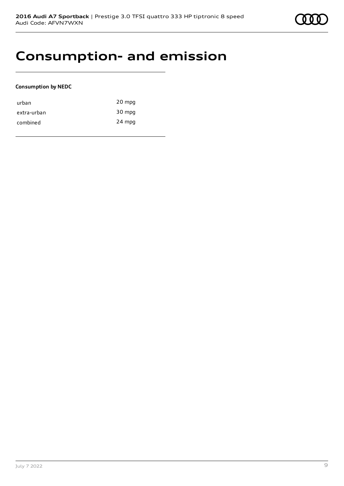

## **Consumption- and emission**

## **Consumption by NEDC**

| urban       | 20 mpg |
|-------------|--------|
| extra-urban | 30 mpg |
| combined    | 24 mpg |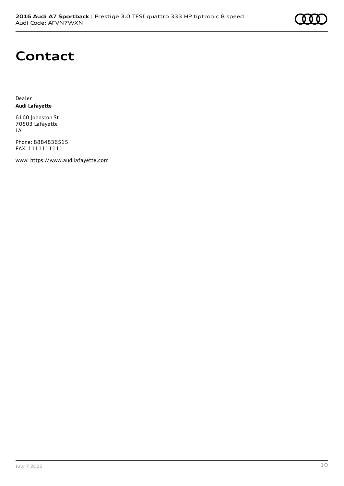

## **Contact**

Dealer **Audi Lafayette**

6160 Johnston St 70503 Lafayette LA

Phone: 8884836515 FAX: 1111111111

www: [https://www.audilafayette.com](https://www.audilafayette.com/)